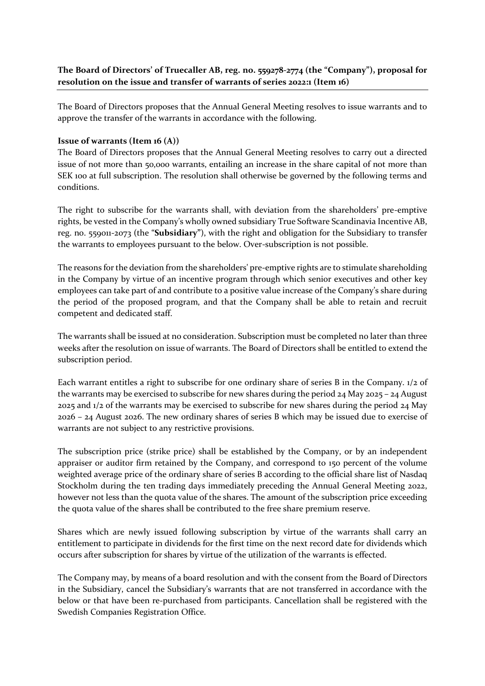The Board of Directors proposes that the Annual General Meeting resolves to issue warrants and to approve the transfer of the warrants in accordance with the following.

# **Issue of warrants (Item 16 (A))**

The Board of Directors proposes that the Annual General Meeting resolves to carry out a directed issue of not more than 50,000 warrants, entailing an increase in the share capital of not more than SEK 100 at full subscription. The resolution shall otherwise be governed by the following terms and conditions.

The right to subscribe for the warrants shall, with deviation from the shareholders' pre-emptive rights, be vested in the Company's wholly owned subsidiary True Software Scandinavia Incentive AB, reg. no. 559011-2073 (the "**Subsidiary"**), with the right and obligation for the Subsidiary to transfer the warrants to employees pursuant to the below. Over-subscription is not possible.

The reasons for the deviation from the shareholders' pre-emptive rights are to stimulate shareholding in the Company by virtue of an incentive program through which senior executives and other key employees can take part of and contribute to a positive value increase of the Company's share during the period of the proposed program, and that the Company shall be able to retain and recruit competent and dedicated staff.

The warrants shall be issued at no consideration. Subscription must be completed no later than three weeks after the resolution on issue of warrants. The Board of Directors shall be entitled to extend the subscription period.

Each warrant entitles a right to subscribe for one ordinary share of series B in the Company. 1/2 of the warrants may be exercised to subscribe for new shares during the period  $24$  May  $2025 - 24$  August 2025 and 1/2 of the warrants may be exercised to subscribe for new shares during the period 24 May 2026 – 24 August 2026. The new ordinary shares of series B which may be issued due to exercise of warrants are not subject to any restrictive provisions.

The subscription price (strike price) shall be established by the Company, or by an independent appraiser or auditor firm retained by the Company, and correspond to 150 percent of the volume weighted average price of the ordinary share of series B according to the official share list of Nasdaq Stockholm during the ten trading days immediately preceding the Annual General Meeting 2022, however not less than the quota value of the shares. The amount of the subscription price exceeding the quota value of the shares shall be contributed to the free share premium reserve.

Shares which are newly issued following subscription by virtue of the warrants shall carry an entitlement to participate in dividends for the first time on the next record date for dividends which occurs after subscription for shares by virtue of the utilization of the warrants is effected.

The Company may, by means of a board resolution and with the consent from the Board of Directors in the Subsidiary, cancel the Subsidiary's warrants that are not transferred in accordance with the below or that have been re-purchased from participants. Cancellation shall be registered with the Swedish Companies Registration Office.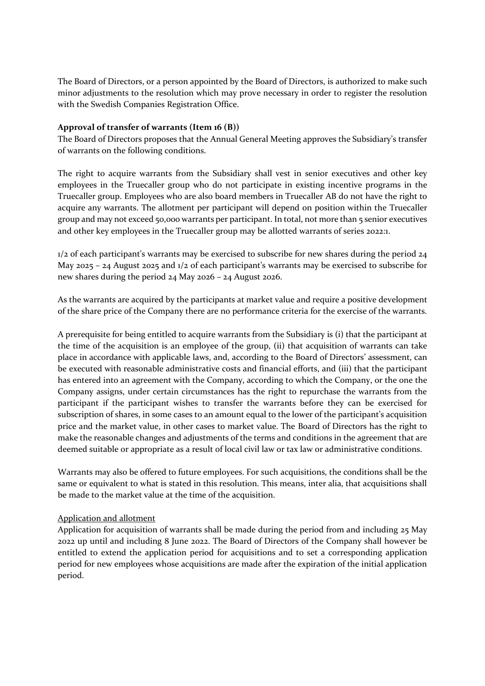The Board of Directors, or a person appointed by the Board of Directors, is authorized to make such minor adjustments to the resolution which may prove necessary in order to register the resolution with the Swedish Companies Registration Office.

## **Approval of transfer of warrants (Item 16 (B))**

The Board of Directors proposes that the Annual General Meeting approves the Subsidiary's transfer of warrants on the following conditions.

The right to acquire warrants from the Subsidiary shall vest in senior executives and other key employees in the Truecaller group who do not participate in existing incentive programs in the Truecaller group. Employees who are also board members in Truecaller AB do not have the right to acquire any warrants. The allotment per participant will depend on position within the Truecaller group and may not exceed 50,000 warrants per participant. In total, not more than 5 senior executives and other key employees in the Truecaller group may be allotted warrants of series 2022:1.

 $1/2$  of each participant's warrants may be exercised to subscribe for new shares during the period  $24$ May 2025 – 24 August 2025 and 1/2 of each participant's warrants may be exercised to subscribe for new shares during the period 24 May 2026 – 24 August 2026.

As the warrants are acquired by the participants at market value and require a positive development of the share price of the Company there are no performance criteria for the exercise of the warrants.

A prerequisite for being entitled to acquire warrants from the Subsidiary is (i) that the participant at the time of the acquisition is an employee of the group, (ii) that acquisition of warrants can take place in accordance with applicable laws, and, according to the Board of Directors' assessment, can be executed with reasonable administrative costs and financial efforts, and (iii) that the participant has entered into an agreement with the Company, according to which the Company, or the one the Company assigns, under certain circumstances has the right to repurchase the warrants from the participant if the participant wishes to transfer the warrants before they can be exercised for subscription of shares, in some cases to an amount equal to the lower of the participant's acquisition price and the market value, in other cases to market value. The Board of Directors has the right to make the reasonable changes and adjustments of the terms and conditions in the agreement that are deemed suitable or appropriate as a result of local civil law or tax law or administrative conditions.

Warrants may also be offered to future employees. For such acquisitions, the conditions shall be the same or equivalent to what is stated in this resolution. This means, inter alia, that acquisitions shall be made to the market value at the time of the acquisition.

## Application and allotment

Application for acquisition of warrants shall be made during the period from and including 25 May 2022 up until and including 8 June 2022. The Board of Directors of the Company shall however be entitled to extend the application period for acquisitions and to set a corresponding application period for new employees whose acquisitions are made after the expiration of the initial application period.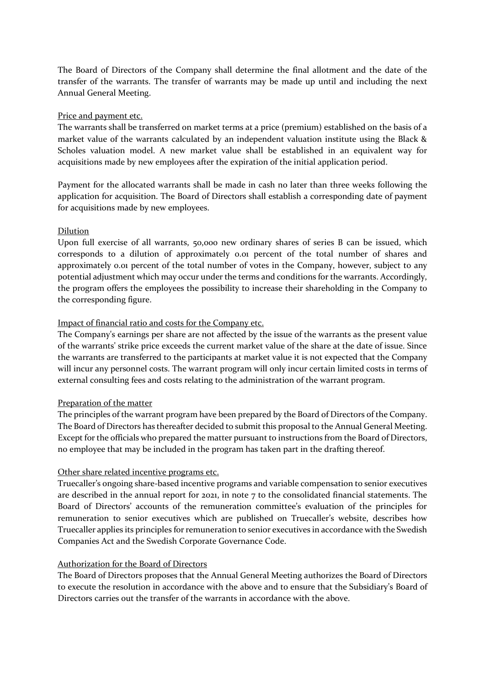The Board of Directors of the Company shall determine the final allotment and the date of the transfer of the warrants. The transfer of warrants may be made up until and including the next Annual General Meeting.

### Price and payment etc.

The warrants shall be transferred on market terms at a price (premium) established on the basis of a market value of the warrants calculated by an independent valuation institute using the Black & Scholes valuation model. A new market value shall be established in an equivalent way for acquisitions made by new employees after the expiration of the initial application period.

Payment for the allocated warrants shall be made in cash no later than three weeks following the application for acquisition. The Board of Directors shall establish a corresponding date of payment for acquisitions made by new employees.

### Dilution

Upon full exercise of all warrants, 50,000 new ordinary shares of series B can be issued, which corresponds to a dilution of approximately 0.01 percent of the total number of shares and approximately 0.01 percent of the total number of votes in the Company, however, subject to any potential adjustment which may occur under the terms and conditions for the warrants. Accordingly, the program offers the employees the possibility to increase their shareholding in the Company to the corresponding figure.

### Impact of financial ratio and costs for the Company etc.

The Company's earnings per share are not affected by the issue of the warrants as the present value of the warrants' strike price exceeds the current market value of the share at the date of issue. Since the warrants are transferred to the participants at market value it is not expected that the Company will incur any personnel costs. The warrant program will only incur certain limited costs in terms of external consulting fees and costs relating to the administration of the warrant program.

#### Preparation of the matter

The principles of the warrant program have been prepared by the Board of Directors of the Company. The Board of Directors has thereafter decided to submit this proposal to the Annual General Meeting. Except for the officials who prepared the matter pursuant to instructions from the Board of Directors, no employee that may be included in the program has taken part in the drafting thereof.

### Other share related incentive programs etc.

Truecaller's ongoing share-based incentive programs and variable compensation to senior executives are described in the annual report for 2021, in note  $7$  to the consolidated financial statements. The Board of Directors' accounts of the remuneration committee's evaluation of the principles for remuneration to senior executives which are published on Truecaller's website, describes how Truecaller applies its principles for remuneration to senior executives in accordance with the Swedish Companies Act and the Swedish Corporate Governance Code.

#### Authorization for the Board of Directors

The Board of Directors proposes that the Annual General Meeting authorizes the Board of Directors to execute the resolution in accordance with the above and to ensure that the Subsidiary's Board of Directors carries out the transfer of the warrants in accordance with the above.